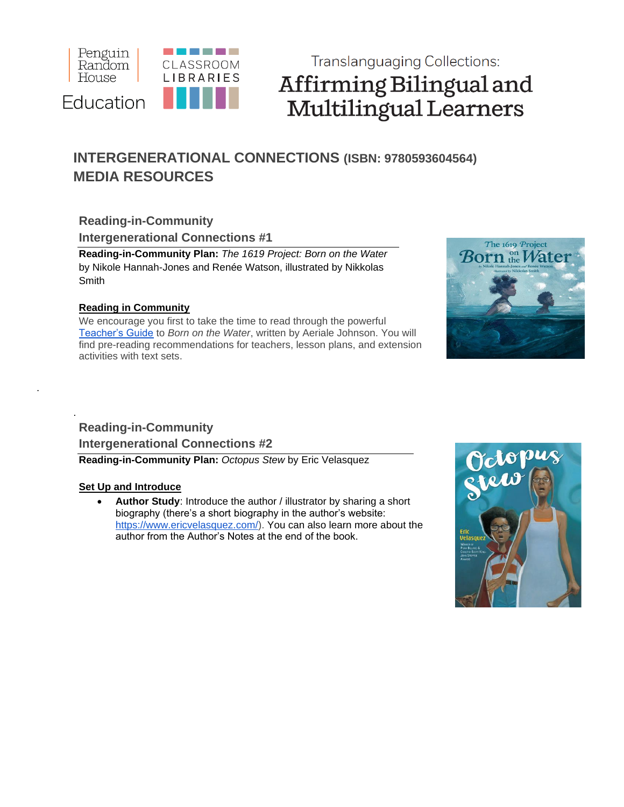

# **Translanguaging Collections:** Affirming Bilingual and Multilingual Learners

# **INTERGENERATIONAL CONNECTIONS (ISBN: 9780593604564) MEDIA RESOURCES**

## **Reading-in-Community Intergenerational Connections #1**

**Reading-in-Community Plan:** *The 1619 Project: Born on the Water*  by Nikole Hannah-Jones and Renée Watson, illustrated by Nikkolas **Smith** 

#### **Reading in Community**

We encourage you first to take the time to read through the powerful [Teacher's Guide](http://images.randomhouse.com/teachers_guides/9780593307359.pdf) to *Born on the Water*, written by Aeriale Johnson. You will find pre-reading recommendations for teachers, lesson plans, and extension activities with text sets.



### . **Reading-in-Community Intergenerational Connections #2 Reading-in-Community Plan:** *Octopus Stew* by Eric Velasquez

#### **Set Up and Introduce**

.

• **Author Study**: Introduce the author / illustrator by sharing a short biography (there's a short biography in the author's website: [https://www.ericvelasquez.com/\)](https://www.ericvelasquez.com/). You can also learn more about the author from the Author's Notes at the end of the book.